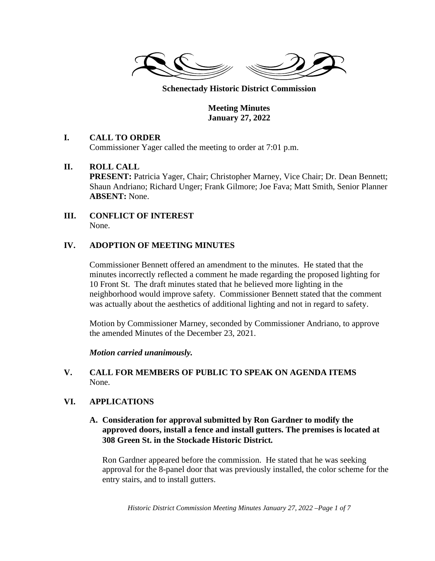

**Schenectady Historic District Commission** 

**Meeting Minutes January 27, 2022** 

# **I. CALL TO ORDER**

Commissioner Yager called the meeting to order at 7:01 p.m.

#### **II. ROLL CALL**

**PRESENT:** Patricia Yager, Chair; Christopher Marney, Vice Chair; Dr. Dean Bennett; Shaun Andriano; Richard Unger; Frank Gilmore; Joe Fava; Matt Smith, Senior Planner **ABSENT:** None.

#### **III. CONFLICT OF INTEREST**  None.

# **IV. ADOPTION OF MEETING MINUTES**

Commissioner Bennett offered an amendment to the minutes. He stated that the minutes incorrectly reflected a comment he made regarding the proposed lighting for 10 Front St. The draft minutes stated that he believed more lighting in the neighborhood would improve safety. Commissioner Bennett stated that the comment was actually about the aesthetics of additional lighting and not in regard to safety.

Motion by Commissioner Marney, seconded by Commissioner Andriano, to approve the amended Minutes of the December 23, 2021.

*Motion carried unanimously.* 

# **V. CALL FOR MEMBERS OF PUBLIC TO SPEAK ON AGENDA ITEMS**  None.

# **VI. APPLICATIONS**

# **A. Consideration for approval submitted by Ron Gardner to modify the approved doors, install a fence and install gutters. The premises is located at 308 Green St. in the Stockade Historic District***.*

Ron Gardner appeared before the commission. He stated that he was seeking approval for the 8-panel door that was previously installed, the color scheme for the entry stairs, and to install gutters.

*Historic District Commission Meeting Minutes January 27, 2022 –Page 1 of 7*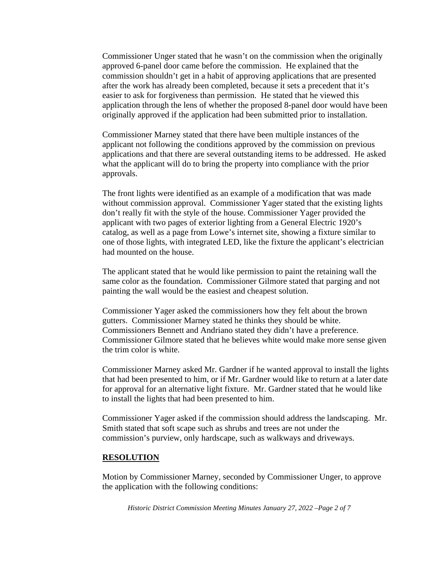Commissioner Unger stated that he wasn't on the commission when the originally approved 6-panel door came before the commission. He explained that the commission shouldn't get in a habit of approving applications that are presented after the work has already been completed, because it sets a precedent that it's easier to ask for forgiveness than permission. He stated that he viewed this application through the lens of whether the proposed 8-panel door would have been originally approved if the application had been submitted prior to installation.

Commissioner Marney stated that there have been multiple instances of the applicant not following the conditions approved by the commission on previous applications and that there are several outstanding items to be addressed. He asked what the applicant will do to bring the property into compliance with the prior approvals.

The front lights were identified as an example of a modification that was made without commission approval. Commissioner Yager stated that the existing lights don't really fit with the style of the house. Commissioner Yager provided the applicant with two pages of exterior lighting from a General Electric 1920's catalog, as well as a page from Lowe's internet site, showing a fixture similar to one of those lights, with integrated LED, like the fixture the applicant's electrician had mounted on the house.

The applicant stated that he would like permission to paint the retaining wall the same color as the foundation. Commissioner Gilmore stated that parging and not painting the wall would be the easiest and cheapest solution.

Commissioner Yager asked the commissioners how they felt about the brown gutters. Commissioner Marney stated he thinks they should be white. Commissioners Bennett and Andriano stated they didn't have a preference. Commissioner Gilmore stated that he believes white would make more sense given the trim color is white.

Commissioner Marney asked Mr. Gardner if he wanted approval to install the lights that had been presented to him, or if Mr. Gardner would like to return at a later date for approval for an alternative light fixture. Mr. Gardner stated that he would like to install the lights that had been presented to him.

Commissioner Yager asked if the commission should address the landscaping. Mr. Smith stated that soft scape such as shrubs and trees are not under the commission's purview, only hardscape, such as walkways and driveways.

#### **RESOLUTION**

Motion by Commissioner Marney, seconded by Commissioner Unger, to approve the application with the following conditions:

*Historic District Commission Meeting Minutes January 27, 2022 –Page 2 of 7*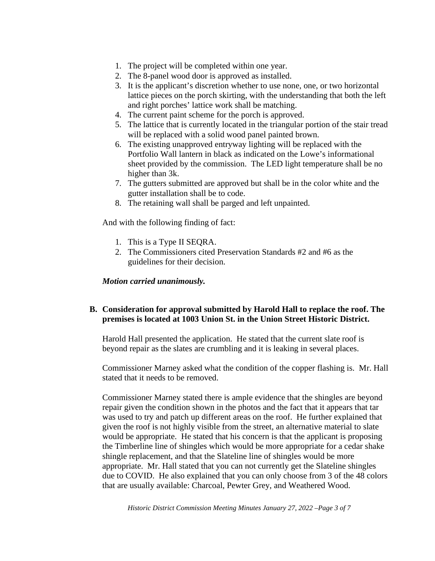- 1. The project will be completed within one year.
- 2. The 8-panel wood door is approved as installed.
- 3. It is the applicant's discretion whether to use none, one, or two horizontal lattice pieces on the porch skirting, with the understanding that both the left and right porches' lattice work shall be matching.
- 4. The current paint scheme for the porch is approved.
- 5. The lattice that is currently located in the triangular portion of the stair tread will be replaced with a solid wood panel painted brown.
- 6. The existing unapproved entryway lighting will be replaced with the Portfolio Wall lantern in black as indicated on the Lowe's informational sheet provided by the commission. The LED light temperature shall be no higher than 3k.
- 7. The gutters submitted are approved but shall be in the color white and the gutter installation shall be to code.
- 8. The retaining wall shall be parged and left unpainted.

And with the following finding of fact:

- 1. This is a Type II SEQRA.
- 2. The Commissioners cited Preservation Standards #2 and #6 as the guidelines for their decision.

#### *Motion carried unanimously.*

#### **B. Consideration for approval submitted by Harold Hall to replace the roof. The premises is located at 1003 Union St. in the Union Street Historic District.**

Harold Hall presented the application. He stated that the current slate roof is beyond repair as the slates are crumbling and it is leaking in several places.

Commissioner Marney asked what the condition of the copper flashing is. Mr. Hall stated that it needs to be removed.

Commissioner Marney stated there is ample evidence that the shingles are beyond repair given the condition shown in the photos and the fact that it appears that tar was used to try and patch up different areas on the roof. He further explained that given the roof is not highly visible from the street, an alternative material to slate would be appropriate. He stated that his concern is that the applicant is proposing the Timberline line of shingles which would be more appropriate for a cedar shake shingle replacement, and that the Slateline line of shingles would be more appropriate. Mr. Hall stated that you can not currently get the Slateline shingles due to COVID. He also explained that you can only choose from 3 of the 48 colors that are usually available: Charcoal, Pewter Grey, and Weathered Wood.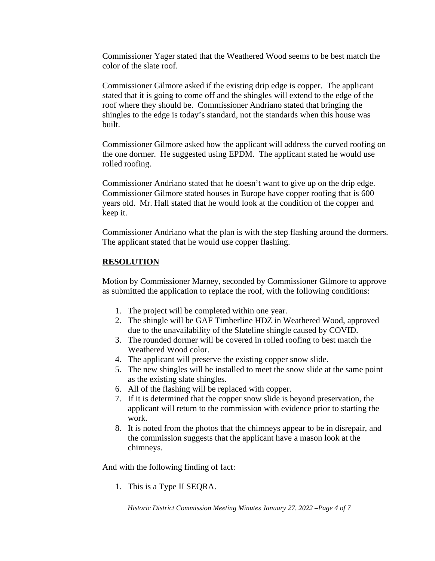Commissioner Yager stated that the Weathered Wood seems to be best match the color of the slate roof.

Commissioner Gilmore asked if the existing drip edge is copper. The applicant stated that it is going to come off and the shingles will extend to the edge of the roof where they should be. Commissioner Andriano stated that bringing the shingles to the edge is today's standard, not the standards when this house was built.

Commissioner Gilmore asked how the applicant will address the curved roofing on the one dormer. He suggested using EPDM. The applicant stated he would use rolled roofing.

Commissioner Andriano stated that he doesn't want to give up on the drip edge. Commissioner Gilmore stated houses in Europe have copper roofing that is 600 years old. Mr. Hall stated that he would look at the condition of the copper and keep it.

Commissioner Andriano what the plan is with the step flashing around the dormers. The applicant stated that he would use copper flashing.

# **RESOLUTION**

Motion by Commissioner Marney, seconded by Commissioner Gilmore to approve as submitted the application to replace the roof, with the following conditions:

- 1. The project will be completed within one year.
- 2. The shingle will be GAF Timberline HDZ in Weathered Wood, approved due to the unavailability of the Slateline shingle caused by COVID.
- 3. The rounded dormer will be covered in rolled roofing to best match the Weathered Wood color.
- 4. The applicant will preserve the existing copper snow slide.
- 5. The new shingles will be installed to meet the snow slide at the same point as the existing slate shingles.
- 6. All of the flashing will be replaced with copper.
- 7. If it is determined that the copper snow slide is beyond preservation, the applicant will return to the commission with evidence prior to starting the work.
- 8. It is noted from the photos that the chimneys appear to be in disrepair, and the commission suggests that the applicant have a mason look at the chimneys.

And with the following finding of fact:

1. This is a Type II SEQRA.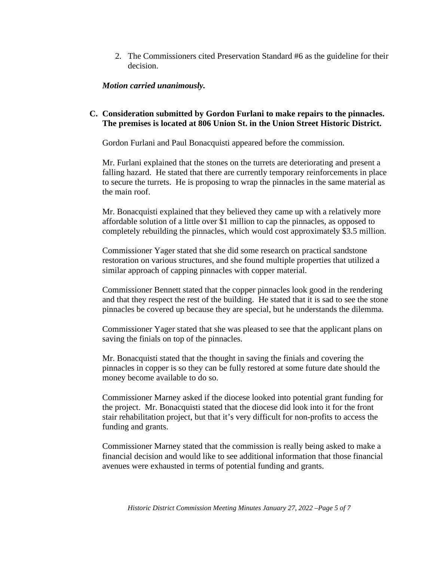2. The Commissioners cited Preservation Standard #6 as the guideline for their decision.

#### *Motion carried unanimously.*

#### **C. Consideration submitted by Gordon Furlani to make repairs to the pinnacles. The premises is located at 806 Union St. in the Union Street Historic District.**

Gordon Furlani and Paul Bonacquisti appeared before the commission.

Mr. Furlani explained that the stones on the turrets are deteriorating and present a falling hazard. He stated that there are currently temporary reinforcements in place to secure the turrets. He is proposing to wrap the pinnacles in the same material as the main roof.

Mr. Bonacquisti explained that they believed they came up with a relatively more affordable solution of a little over \$1 million to cap the pinnacles, as opposed to completely rebuilding the pinnacles, which would cost approximately \$3.5 million.

Commissioner Yager stated that she did some research on practical sandstone restoration on various structures, and she found multiple properties that utilized a similar approach of capping pinnacles with copper material.

Commissioner Bennett stated that the copper pinnacles look good in the rendering and that they respect the rest of the building. He stated that it is sad to see the stone pinnacles be covered up because they are special, but he understands the dilemma.

Commissioner Yager stated that she was pleased to see that the applicant plans on saving the finials on top of the pinnacles.

Mr. Bonacquisti stated that the thought in saving the finials and covering the pinnacles in copper is so they can be fully restored at some future date should the money become available to do so.

Commissioner Marney asked if the diocese looked into potential grant funding for the project. Mr. Bonacquisti stated that the diocese did look into it for the front stair rehabilitation project, but that it's very difficult for non-profits to access the funding and grants.

Commissioner Marney stated that the commission is really being asked to make a financial decision and would like to see additional information that those financial avenues were exhausted in terms of potential funding and grants.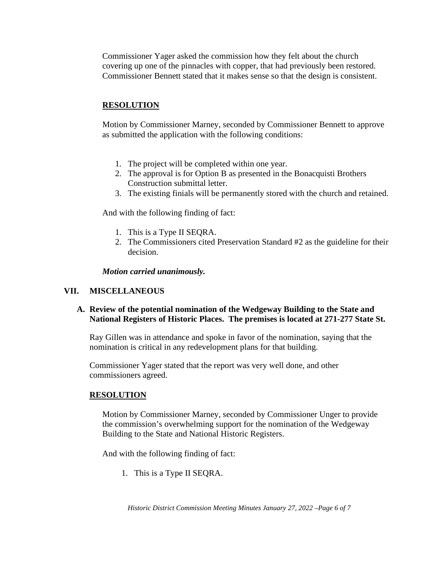Commissioner Yager asked the commission how they felt about the church covering up one of the pinnacles with copper, that had previously been restored. Commissioner Bennett stated that it makes sense so that the design is consistent.

# **RESOLUTION**

Motion by Commissioner Marney, seconded by Commissioner Bennett to approve as submitted the application with the following conditions:

- 1. The project will be completed within one year.
- 2. The approval is for Option B as presented in the Bonacquisti Brothers Construction submittal letter.
- 3. The existing finials will be permanently stored with the church and retained.

And with the following finding of fact:

- 1. This is a Type II SEQRA.
- 2. The Commissioners cited Preservation Standard #2 as the guideline for their decision.

*Motion carried unanimously.* 

# **VII. MISCELLANEOUS**

# **A. Review of the potential nomination of the Wedgeway Building to the State and National Registers of Historic Places. The premises is located at 271-277 State St.**

Ray Gillen was in attendance and spoke in favor of the nomination, saying that the nomination is critical in any redevelopment plans for that building.

Commissioner Yager stated that the report was very well done, and other commissioners agreed.

# **RESOLUTION**

Motion by Commissioner Marney, seconded by Commissioner Unger to provide the commission's overwhelming support for the nomination of the Wedgeway Building to the State and National Historic Registers.

And with the following finding of fact:

1. This is a Type II SEQRA.